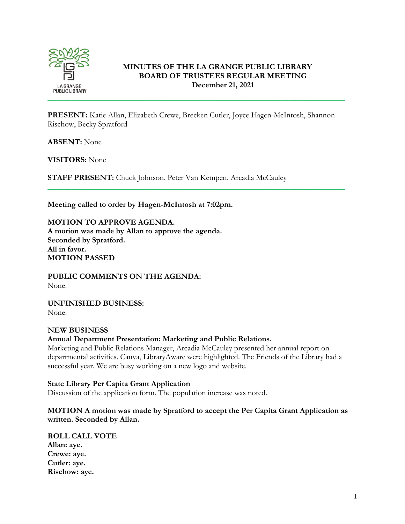

### **MINUTES OF THE LA GRANGE PUBLIC LIBRARY BOARD OF TRUSTEES REGULAR MEETING December 21, 2021**

**PRESENT:** Katie Allan, Elizabeth Crewe, Brecken Cutler, Joyce Hagen-McIntosh, Shannon Rischow, Becky Spratford

\_\_\_\_\_\_\_\_\_\_\_\_\_\_\_\_\_\_\_\_\_\_\_\_\_\_\_\_\_\_\_\_\_\_\_\_\_\_\_\_\_\_\_\_\_\_\_\_\_\_\_\_\_\_\_\_\_\_\_\_\_\_\_\_\_\_\_\_\_\_\_\_\_\_\_

**ABSENT:** None

**VISITORS:** None

**STAFF PRESENT:** Chuck Johnson, Peter Van Kempen, Arcadia McCauley

**Meeting called to order by Hagen-McIntosh at 7:02pm.**

**MOTION TO APPROVE AGENDA. A motion was made by Allan to approve the agenda. Seconded by Spratford. All in favor. MOTION PASSED**

**PUBLIC COMMENTS ON THE AGENDA:**  None.

**UNFINISHED BUSINESS:** None.

#### **NEW BUSINESS**

**Annual Department Presentation: Marketing and Public Relations.** 

Marketing and Public Relations Manager, Arcadia McCauley presented her annual report on departmental activities. Canva, LibraryAware were highlighted. The Friends of the Library had a successful year. We are busy working on a new logo and website.

**State Library Per Capita Grant Application** 

Discussion of the application form. The population increase was noted.

**MOTION A motion was made by Spratford to accept the Per Capita Grant Application as written. Seconded by Allan.**

**ROLL CALL VOTE Allan: aye. Crewe: aye. Cutler: aye. Rischow: aye.**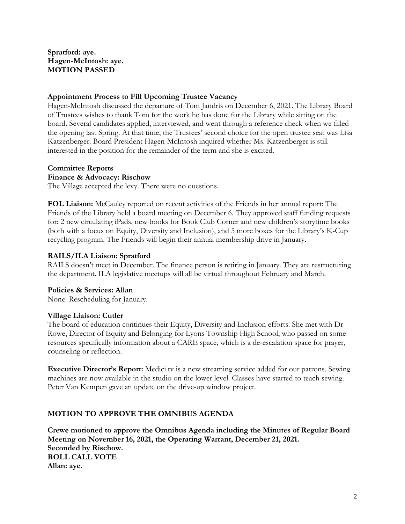### **Spratford: aye. Hagen-McIntosh: aye. MOTION PASSED**

### **Appointment Process to Fill Upcoming Trustee Vacancy**

Hagen-McIntosh discussed the departure of Tom Jandris on December 6, 2021. The Library Board of Trustees wishes to thank Tom for the work he has done for the Library while sitting on the board. Several candidates applied, interviewed, and went through a reference check when we filled the opening last Spring. At that time, the Trustees' second choice for the open trustee seat was Lisa Katzenberger. Board President Hagen-McIntosh inquired whether Ms. Katzenberger is still interested in the position for the remainder of the term and she is excited.

### **Committee Reports**

### **Finance & Advocacy: Rischow**

The Village accepted the levy. There were no questions.

**FOL Liaison:** McCauley reported on recent activities of the Friends in her annual report: The Friends of the Library held a board meeting on December 6. They approved staff funding requests for: 2 new circulating iPads, new books for Book Club Corner and new children's storytime books (both with a focus on Equity, Diversity and Inclusion), and 5 more boxes for the Library's K-Cup recycling program. The Friends will begin their annual membership drive in January.

## **RAILS/ILA Liaison: Spratford**

RAILS doesn't meet in December. The finance person is retiring in January. They are restructuring the department. ILA legislative meetups will all be virtual throughout February and March.

### **Policies & Services: Allan**

None. Rescheduling for January.

### **Village Liaison: Cutler**

The board of education continues their Equity, Diversity and Inclusion efforts. She met with Dr Rowe, Director of Equity and Belonging for Lyons Township High School, who passed on some resources specifically information about a CARE space, which is a de-escalation space for prayer, counseling or reflection.

**Executive Director's Report:** Medici.tv is a new streaming service added for our patrons. Sewing machines are now available in the studio on the lower level. Classes have started to teach sewing. Peter Van Kempen gave an update on the drive-up window project.

## **MOTION TO APPROVE THE OMNIBUS AGENDA**

**Crewe motioned to approve the Omnibus Agenda including the Minutes of Regular Board Meeting on November 16, 2021, the Operating Warrant, December 21, 2021. Seconded by Rischow. ROLL CALL VOTE Allan: aye.**